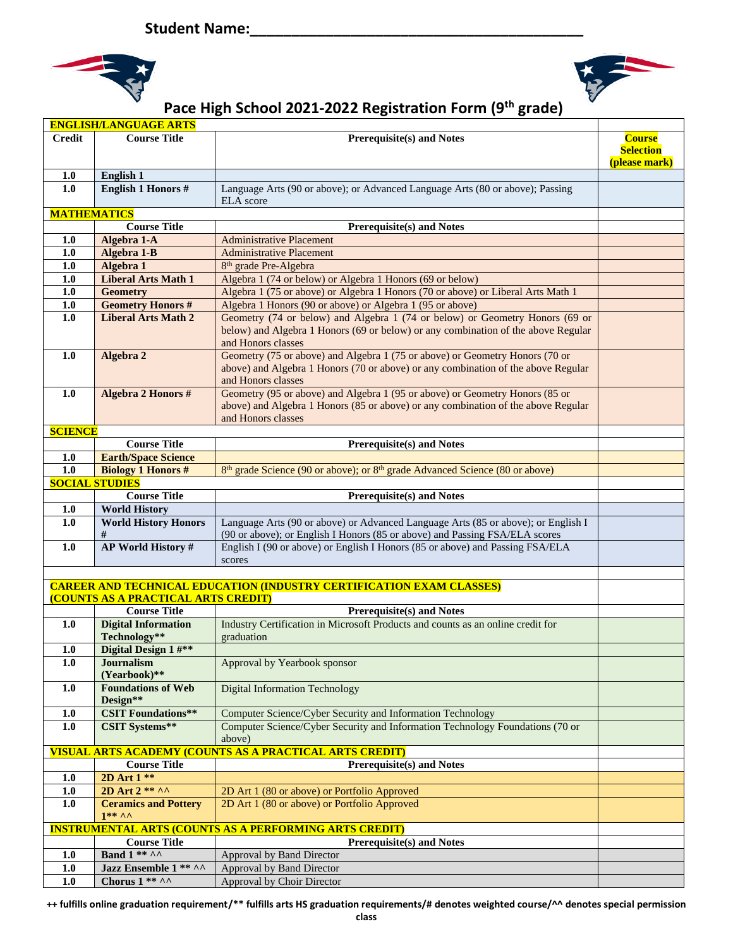



## **Pace High School 2021-2022 Registration Form (9th grade)**

|                                                                | <b>ENGLISH/LANGUAGE ARTS</b>               |                                                                                                                                                                                         |                                                    |  |  |
|----------------------------------------------------------------|--------------------------------------------|-----------------------------------------------------------------------------------------------------------------------------------------------------------------------------------------|----------------------------------------------------|--|--|
| <b>Credit</b>                                                  | <b>Course Title</b>                        | <b>Prerequisite(s) and Notes</b>                                                                                                                                                        | <b>Course</b><br><b>Selection</b><br>(please mark) |  |  |
| 1.0                                                            | English 1                                  |                                                                                                                                                                                         |                                                    |  |  |
| 1.0                                                            | <b>English 1 Honors #</b>                  | Language Arts (90 or above); or Advanced Language Arts (80 or above); Passing<br><b>ELA</b> score                                                                                       |                                                    |  |  |
| <b>MATHEMATICS</b>                                             |                                            |                                                                                                                                                                                         |                                                    |  |  |
|                                                                | <b>Course Title</b>                        | <b>Prerequisite(s) and Notes</b>                                                                                                                                                        |                                                    |  |  |
| 1.0                                                            | Algebra 1-A                                | <b>Administrative Placement</b>                                                                                                                                                         |                                                    |  |  |
| 1.0                                                            | Algebra 1-B                                | <b>Administrative Placement</b>                                                                                                                                                         |                                                    |  |  |
| $1.0$                                                          | Algebra 1                                  | 8 <sup>th</sup> grade Pre-Algebra                                                                                                                                                       |                                                    |  |  |
| 1.0                                                            | <b>Liberal Arts Math 1</b>                 | Algebra 1 (74 or below) or Algebra 1 Honors (69 or below)                                                                                                                               |                                                    |  |  |
| 1.0                                                            | <b>Geometry</b>                            | Algebra 1 (75 or above) or Algebra 1 Honors (70 or above) or Liberal Arts Math 1                                                                                                        |                                                    |  |  |
| 1.0                                                            | <b>Geometry Honors #</b>                   | Algebra 1 Honors (90 or above) or Algebra 1 (95 or above)                                                                                                                               |                                                    |  |  |
| 1.0                                                            | <b>Liberal Arts Math 2</b>                 | Geometry (74 or below) and Algebra 1 (74 or below) or Geometry Honors (69 or<br>below) and Algebra 1 Honors (69 or below) or any combination of the above Regular<br>and Honors classes |                                                    |  |  |
| 1.0                                                            | Algebra 2                                  | Geometry (75 or above) and Algebra 1 (75 or above) or Geometry Honors (70 or<br>above) and Algebra 1 Honors (70 or above) or any combination of the above Regular<br>and Honors classes |                                                    |  |  |
| 1.0                                                            | Algebra 2 Honors #                         | Geometry (95 or above) and Algebra 1 (95 or above) or Geometry Honors (85 or<br>above) and Algebra 1 Honors (85 or above) or any combination of the above Regular<br>and Honors classes |                                                    |  |  |
| <b>SCIENCE</b>                                                 |                                            |                                                                                                                                                                                         |                                                    |  |  |
|                                                                | <b>Course Title</b>                        | <b>Prerequisite(s) and Notes</b>                                                                                                                                                        |                                                    |  |  |
| $1.0$                                                          | <b>Earth/Space Science</b>                 |                                                                                                                                                                                         |                                                    |  |  |
| 1.0                                                            | <b>Biology 1 Honors #</b>                  | 8 <sup>th</sup> grade Science (90 or above); or 8 <sup>th</sup> grade Advanced Science (80 or above)                                                                                    |                                                    |  |  |
|                                                                | <b>SOCIAL STUDIES</b>                      |                                                                                                                                                                                         |                                                    |  |  |
|                                                                | <b>Course Title</b>                        | <b>Prerequisite(s) and Notes</b>                                                                                                                                                        |                                                    |  |  |
| 1.0                                                            | <b>World History</b>                       |                                                                                                                                                                                         |                                                    |  |  |
| 1.0                                                            | <b>World History Honors</b><br>#           | Language Arts (90 or above) or Advanced Language Arts (85 or above); or English I<br>(90 or above); or English I Honors (85 or above) and Passing FSA/ELA scores                        |                                                    |  |  |
| 1.0                                                            | <b>AP World History #</b>                  | English I (90 or above) or English I Honors (85 or above) and Passing FSA/ELA<br>scores                                                                                                 |                                                    |  |  |
|                                                                |                                            |                                                                                                                                                                                         |                                                    |  |  |
|                                                                | (COUNTS AS A PRACTICAL ARTS CREDIT)        | <b>CAREER AND TECHNICAL EDUCATION (INDUSTRY CERTIFICATION EXAM CLASSES)</b>                                                                                                             |                                                    |  |  |
|                                                                | <b>Course Title</b>                        | <b>Prerequisite(s) and Notes</b>                                                                                                                                                        |                                                    |  |  |
| 1.0                                                            | <b>Digital Information</b><br>Technology** | Industry Certification in Microsoft Products and counts as an online credit for<br>graduation                                                                                           |                                                    |  |  |
| 1.0                                                            | Digital Design 1 #**                       |                                                                                                                                                                                         |                                                    |  |  |
| 1.0                                                            | Journalism<br>(Yearbook)**                 | Approval by Yearbook sponsor                                                                                                                                                            |                                                    |  |  |
| 1.0                                                            | <b>Foundations of Web</b><br>Design**      | <b>Digital Information Technology</b>                                                                                                                                                   |                                                    |  |  |
| 1.0                                                            | <b>CSIT Foundations**</b>                  | Computer Science/Cyber Security and Information Technology                                                                                                                              |                                                    |  |  |
| $1.0$                                                          | <b>CSIT Systems**</b>                      | Computer Science/Cyber Security and Information Technology Foundations (70 or<br>above)                                                                                                 |                                                    |  |  |
| <b>VISUAL ARTS ACADEMY (COUNTS AS A PRACTICAL ARTS CREDIT)</b> |                                            |                                                                                                                                                                                         |                                                    |  |  |
|                                                                | <b>Course Title</b>                        | <b>Prerequisite(s) and Notes</b>                                                                                                                                                        |                                                    |  |  |
| 1.0                                                            | 2D Art 1 **                                |                                                                                                                                                                                         |                                                    |  |  |
| $1.0$                                                          | 2D Art 2 ** ^^                             | 2D Art 1 (80 or above) or Portfolio Approved                                                                                                                                            |                                                    |  |  |
| 1.0                                                            | <b>Ceramics and Pottery</b><br>$1*** A$    | 2D Art 1 (80 or above) or Portfolio Approved                                                                                                                                            |                                                    |  |  |
|                                                                |                                            | <b>INSTRUMENTAL ARTS (COUNTS AS A PERFORMING ARTS CREDIT)</b>                                                                                                                           |                                                    |  |  |
|                                                                | <b>Course Title</b>                        | <b>Prerequisite(s) and Notes</b>                                                                                                                                                        |                                                    |  |  |
| $1.0$                                                          | Band $1***\wedge\wedge$                    | Approval by Band Director                                                                                                                                                               |                                                    |  |  |
| 1.0                                                            | Jazz Ensemble 1 ** ^^                      | Approval by Band Director                                                                                                                                                               |                                                    |  |  |
| $1.0$                                                          | Chorus $1$ ** ^^                           | Approval by Choir Director                                                                                                                                                              |                                                    |  |  |

**++ fulfills online graduation requirement/\*\* fulfills arts HS graduation requirements/# denotes weighted course/^^ denotes special permission**